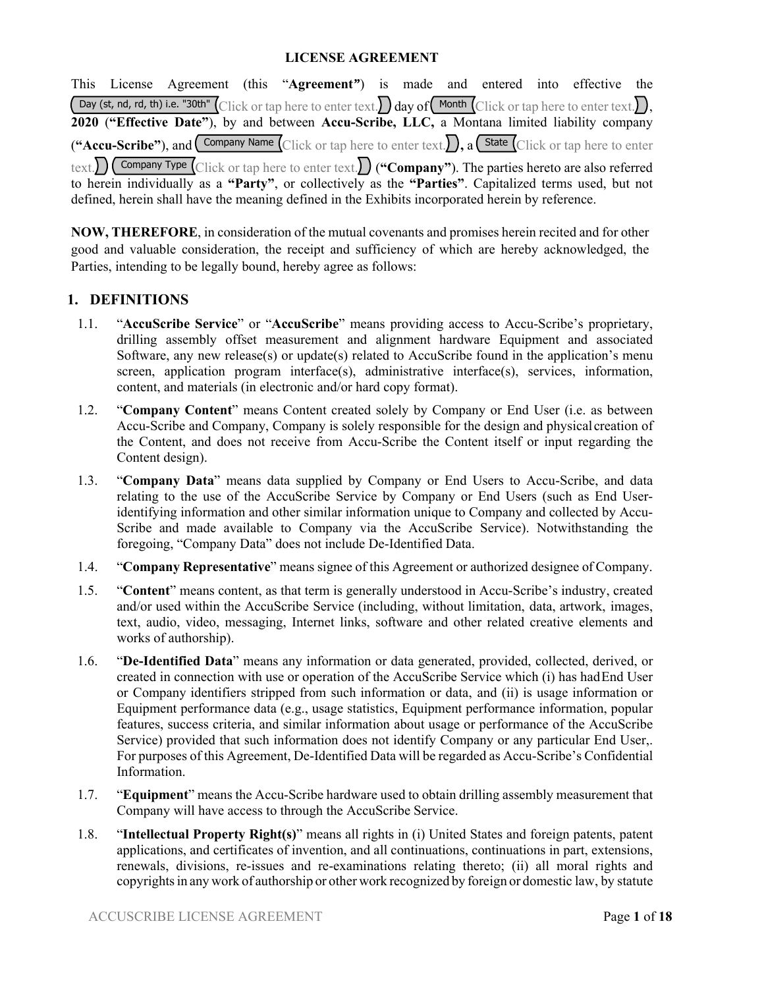## **LICENSE AGREEMENT**

This License Agreement (this "**Agreement***"*) is made and entered into effective the Day (st, nd, rd, th) i.e. "30th" Click or tap here to enter text. day of Month Click or tap here to enter text. **2020** (**"Effective Date"**), by and between **Accu-Scribe, LLC,** a Montana limited liability company ("Accu-Scribe"), and  $\overline{\text{ Company Name}}$  Click or tap here to enter text.  $\overline{\text{, a}}$   $\overline{\text{State}}$  Click or tap here to enter  $\text{text}$  $\sum$   $\binom{1}{\text{company Type }}$   $\text{Click or tap here to enter text.}$  ("**Company**"). The parties hereto are also referred to herein individually as a **"Party"**, or collectively as the **"Parties"**. Capitalized terms used, but not defined, herein shall have the meaning defined in the Exhibits incorporated herein by reference.

**NOW, THEREFORE**, in consideration of the mutual covenants and promises herein recited and for other good and valuable consideration, the receipt and sufficiency of which are hereby acknowledged, the Parties, intending to be legally bound, hereby agree as follows:

### **1. DEFINITIONS**

- 1.1. "**AccuScribe Service**" or "**AccuScribe**" means providing access to Accu-Scribe's proprietary, drilling assembly offset measurement and alignment hardware Equipment and associated Software, any new release(s) or update(s) related to AccuScribe found in the application's menu screen, application program interface(s), administrative interface(s), services, information, content, and materials (in electronic and/or hard copy format).
- 1.2. "**Company Content**" means Content created solely by Company or End User (i.e. as between Accu-Scribe and Company, Company is solely responsible for the design and physical creation of the Content, and does not receive from Accu-Scribe the Content itself or input regarding the Content design).
- 1.3. "**Company Data**" means data supplied by Company or End Users to Accu-Scribe, and data relating to the use of the AccuScribe Service by Company or End Users (such as End Useridentifying information and other similar information unique to Company and collected by Accu-Scribe and made available to Company via the AccuScribe Service). Notwithstanding the foregoing, "Company Data" does not include De-Identified Data.
- 1.4. "**Company Representative**" means signee of this Agreement or authorized designee of Company.
- 1.5. "**Content**" means content, as that term is generally understood in Accu-Scribe's industry, created and/or used within the AccuScribe Service (including, without limitation, data, artwork, images, text, audio, video, messaging, Internet links, software and other related creative elements and works of authorship).
- 1.6. "**De-Identified Data**" means any information or data generated, provided, collected, derived, or created in connection with use or operation of the AccuScribe Service which (i) has had End User or Company identifiers stripped from such information or data, and (ii) is usage information or Equipment performance data (e.g., usage statistics, Equipment performance information, popular features, success criteria, and similar information about usage or performance of the AccuScribe Service) provided that such information does not identify Company or any particular End User,. For purposes of this Agreement, De-Identified Data will be regarded as Accu-Scribe's Confidential Information.
- 1.7. "**Equipment**" means the Accu-Scribe hardware used to obtain drilling assembly measurement that Company will have access to through the AccuScribe Service.
- 1.8. "**Intellectual Property Right(s)**" means all rights in (i) United States and foreign patents, patent applications, and certificates of invention, and all continuations, continuations in part, extensions, renewals, divisions, re-issues and re-examinations relating thereto; (ii) all moral rights and copyrights in any work of authorship or other work recognized by foreign or domestic law, by statute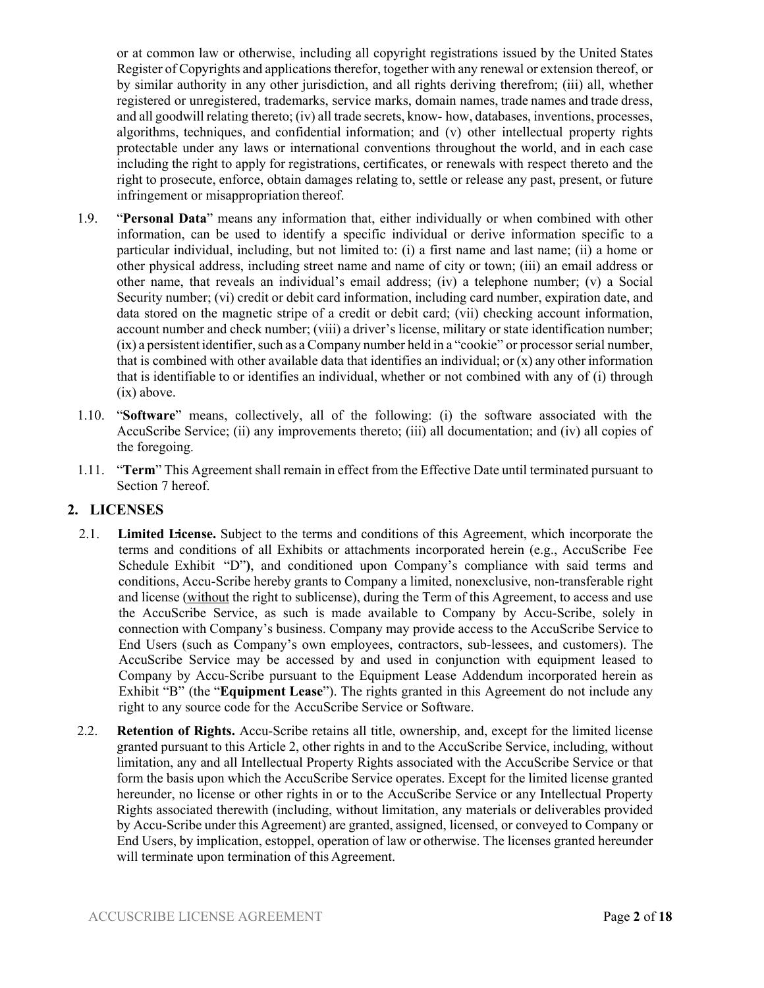or at common law or otherwise, including all copyright registrations issued by the United States Register of Copyrights and applications therefor, together with any renewal or extension thereof, or by similar authority in any other jurisdiction, and all rights deriving therefrom; (iii) all, whether registered or unregistered, trademarks, service marks, domain names, trade names and trade dress, and all goodwill relating thereto; (iv) all trade secrets, know- how, databases, inventions, processes, algorithms, techniques, and confidential information; and (v) other intellectual property rights protectable under any laws or international conventions throughout the world, and in each case including the right to apply for registrations, certificates, or renewals with respect thereto and the right to prosecute, enforce, obtain damages relating to, settle or release any past, present, or future infringement or misappropriation thereof.

- 1.9. "**Personal Data**" means any information that, either individually or when combined with other information, can be used to identify a specific individual or derive information specific to a particular individual, including, but not limited to: (i) a first name and last name; (ii) a home or other physical address, including street name and name of city or town; (iii) an email address or other name, that reveals an individual's email address; (iv) a telephone number; (v) a Social Security number; (vi) credit or debit card information, including card number, expiration date, and data stored on the magnetic stripe of a credit or debit card; (vii) checking account information, account number and check number; (viii) a driver's license, military or state identification number; (ix) a persistent identifier, such as a Company number held in a "cookie" or processor serial number, that is combined with other available data that identifies an individual; or  $(x)$  any other information that is identifiable to or identifies an individual, whether or not combined with any of (i) through (ix) above.
- 1.10. "**Software**" means, collectively, all of the following: (i) the software associated with the AccuScribe Service; (ii) any improvements thereto; (iii) all documentation; and (iv) all copies of the foregoing.
- 1.11. "**Term**" This Agreement shall remain in effect from the Effective Date until terminated pursuant to Section 7 hereof.

## **2. LICENSES**

- 2.1. **Limited License.** Subject to the terms and conditions of this Agreement, which incorporate the terms and conditions of all Exhibits or attachments incorporated herein (e.g., AccuScribe Fee Schedule Exhibit "D"**)**, and conditioned upon Company's compliance with said terms and conditions, Accu-Scribe hereby grants to Company a limited, nonexclusive, non-transferable right and license (without the right to sublicense), during the Term of this Agreement, to access and use the AccuScribe Service, as such is made available to Company by Accu-Scribe, solely in connection with Company's business. Company may provide access to the AccuScribe Service to End Users (such as Company's own employees, contractors, sub-lessees, and customers). The AccuScribe Service may be accessed by and used in conjunction with equipment leased to Company by Accu-Scribe pursuant to the Equipment Lease Addendum incorporated herein as Exhibit "B" (the "**Equipment Lease**"). The rights granted in this Agreement do not include any right to any source code for the AccuScribe Service or Software.
- 2.2. **Retention of Rights.** Accu-Scribe retains all title, ownership, and, except for the limited license granted pursuant to this Article 2, other rights in and to the AccuScribe Service, including, without limitation, any and all Intellectual Property Rights associated with the AccuScribe Service or that form the basis upon which the AccuScribe Service operates. Except for the limited license granted hereunder, no license or other rights in or to the AccuScribe Service or any Intellectual Property Rights associated therewith (including, without limitation, any materials or deliverables provided by Accu-Scribe under this Agreement) are granted, assigned, licensed, or conveyed to Company or End Users, by implication, estoppel, operation of law or otherwise. The licenses granted hereunder will terminate upon termination of this Agreement.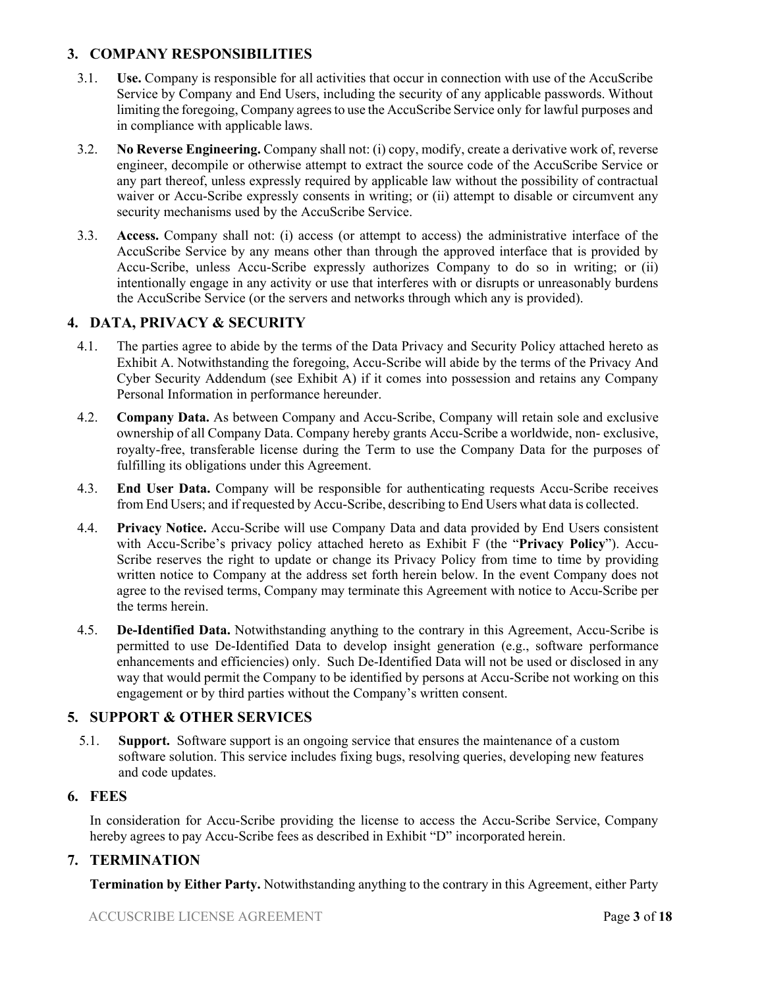## **3. COMPANY RESPONSIBILITIES**

- 3.1. **Use.** Company is responsible for all activities that occur in connection with use of the AccuScribe Service by Company and End Users, including the security of any applicable passwords. Without limiting the foregoing, Company agrees to use the AccuScribe Service only for lawful purposes and in compliance with applicable laws.
- 3.2. **No Reverse Engineering.** Company shall not: (i) copy, modify, create a derivative work of, reverse engineer, decompile or otherwise attempt to extract the source code of the AccuScribe Service or any part thereof, unless expressly required by applicable law without the possibility of contractual waiver or Accu-Scribe expressly consents in writing; or (ii) attempt to disable or circumvent any security mechanisms used by the AccuScribe Service.
- 3.3. **Access.** Company shall not: (i) access (or attempt to access) the administrative interface of the AccuScribe Service by any means other than through the approved interface that is provided by Accu-Scribe, unless Accu-Scribe expressly authorizes Company to do so in writing; or (ii) intentionally engage in any activity or use that interferes with or disrupts or unreasonably burdens the AccuScribe Service (or the servers and networks through which any is provided).

# **4. DATA, PRIVACY & SECURITY**

- 4.1. The parties agree to abide by the terms of the Data Privacy and Security Policy attached hereto as Exhibit A. Notwithstanding the foregoing, Accu-Scribe will abide by the terms of the Privacy And Cyber Security Addendum (see Exhibit A) if it comes into possession and retains any Company Personal Information in performance hereunder.
- 4.2. **Company Data.** As between Company and Accu-Scribe, Company will retain sole and exclusive ownership of all Company Data. Company hereby grants Accu-Scribe a worldwide, non- exclusive, royalty-free, transferable license during the Term to use the Company Data for the purposes of fulfilling its obligations under this Agreement.
- 4.3. **End User Data.** Company will be responsible for authenticating requests Accu-Scribe receives from End Users; and if requested by Accu-Scribe, describing to End Users what data is collected.
- 4.4. **Privacy Notice.** Accu-Scribe will use Company Data and data provided by End Users consistent with Accu-Scribe's privacy policy attached hereto as Exhibit F (the "**Privacy Policy**"). Accu-Scribe reserves the right to update or change its Privacy Policy from time to time by providing written notice to Company at the address set forth herein below. In the event Company does not agree to the revised terms, Company may terminate this Agreement with notice to Accu-Scribe per the terms herein.
- 4.5. **De-Identified Data.** Notwithstanding anything to the contrary in this Agreement, Accu-Scribe is permitted to use De-Identified Data to develop insight generation (e.g., software performance enhancements and efficiencies) only. Such De-Identified Data will not be used or disclosed in any way that would permit the Company to be identified by persons at Accu-Scribe not working on this engagement or by third parties without the Company's written consent.

# **5. SUPPORT & OTHER SERVICES**

5.1. **Support.** Software support is an ongoing service that ensures the maintenance of a custom software solution. This service includes fixing bugs, resolving queries, developing new features and code updates.

### **6. FEES**

In consideration for Accu-Scribe providing the license to access the Accu-Scribe Service, Company hereby agrees to pay Accu-Scribe fees as described in Exhibit "D" incorporated herein.

## **7. TERMINATION**

**Termination by Either Party.** Notwithstanding anything to the contrary in this Agreement, either Party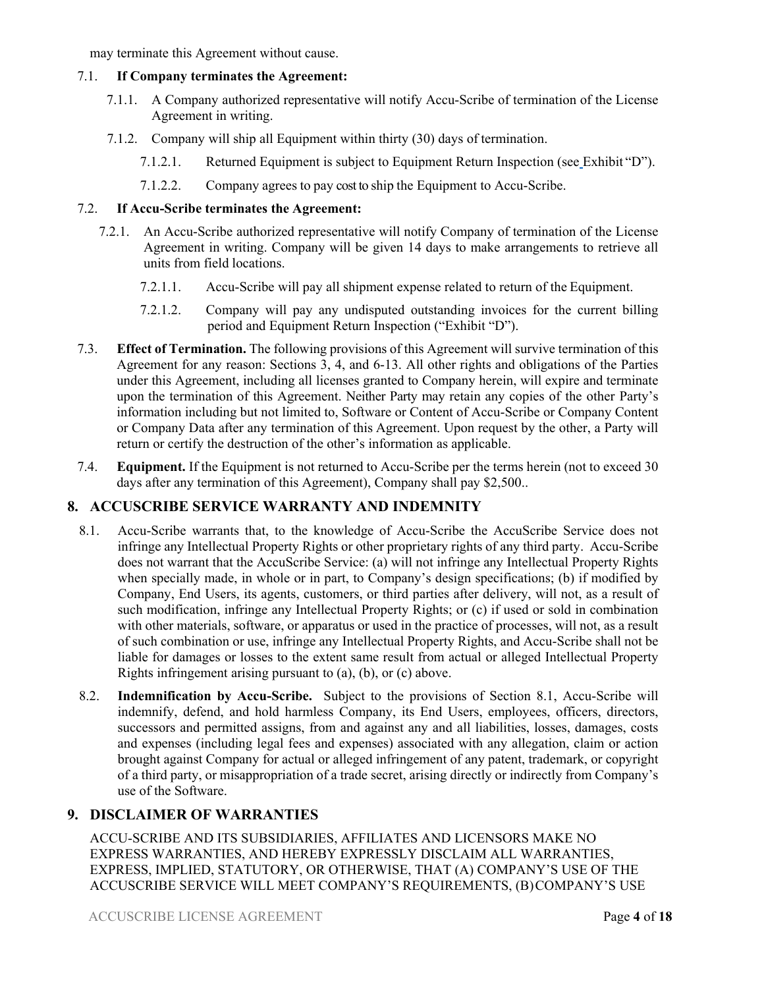may terminate this Agreement without cause.

### 7.1. **If Company terminates the Agreement:**

- 7.1.1. A Company authorized representative will notify Accu-Scribe of termination of the License Agreement in writing.
- 7.1.2. Company will ship all Equipment within thirty (30) days of termination.
	- 7.1.2.1. Returned Equipment is subject to Equipment Return Inspection (see Exhibit "D").
	- 7.1.2.2. Company agrees to pay cost to ship the Equipment to Accu-Scribe.

### 7.2. **If Accu-Scribe terminates the Agreement:**

- 7.2.1. An Accu-Scribe authorized representative will notify Company of termination of the License Agreement in writing. Company will be given 14 days to make arrangements to retrieve all units from field locations.
	- 7.2.1.1. Accu-Scribe will pay all shipment expense related to return of the Equipment.
	- 7.2.1.2. Company will pay any undisputed outstanding invoices for the current billing period and Equipment Return Inspection ("Exhibit "D").
- 7.3. **Effect of Termination.** The following provisions of this Agreement will survive termination of this Agreement for any reason: Sections 3, 4, and 6-13. All other rights and obligations of the Parties under this Agreement, including all licenses granted to Company herein, will expire and terminate upon the termination of this Agreement. Neither Party may retain any copies of the other Party's information including but not limited to, Software or Content of Accu-Scribe or Company Content or Company Data after any termination of this Agreement. Upon request by the other, a Party will return or certify the destruction of the other's information as applicable.
- 7.4. **Equipment.** If the Equipment is not returned to Accu-Scribe per the terms herein (not to exceed 30 days after any termination of this Agreement), Company shall pay \$2,500..

## **8. ACCUSCRIBE SERVICE WARRANTY AND INDEMNITY**

- 8.1. Accu-Scribe warrants that, to the knowledge of Accu-Scribe the AccuScribe Service does not infringe any Intellectual Property Rights or other proprietary rights of any third party. Accu-Scribe does not warrant that the AccuScribe Service: (a) will not infringe any Intellectual Property Rights when specially made, in whole or in part, to Company's design specifications; (b) if modified by Company, End Users, its agents, customers, or third parties after delivery, will not, as a result of such modification, infringe any Intellectual Property Rights; or (c) if used or sold in combination with other materials, software, or apparatus or used in the practice of processes, will not, as a result of such combination or use, infringe any Intellectual Property Rights, and Accu-Scribe shall not be liable for damages or losses to the extent same result from actual or alleged Intellectual Property Rights infringement arising pursuant to (a), (b), or (c) above.
- 8.2. **Indemnification by Accu-Scribe.** Subject to the provisions of Section 8.1, Accu-Scribe will indemnify, defend, and hold harmless Company, its End Users, employees, officers, directors, successors and permitted assigns, from and against any and all liabilities, losses, damages, costs and expenses (including legal fees and expenses) associated with any allegation, claim or action brought against Company for actual or alleged infringement of any patent, trademark, or copyright of a third party, or misappropriation of a trade secret, arising directly or indirectly from Company's use of the Software.

## **9. DISCLAIMER OF WARRANTIES**

ACCU-SCRIBE AND ITS SUBSIDIARIES, AFFILIATES AND LICENSORS MAKE NO EXPRESS WARRANTIES, AND HEREBY EXPRESSLY DISCLAIM ALL WARRANTIES, EXPRESS, IMPLIED, STATUTORY, OR OTHERWISE, THAT (A) COMPANY'S USE OF THE ACCUSCRIBE SERVICE WILL MEET COMPANY'S REQUIREMENTS, (B) COMPANY'S USE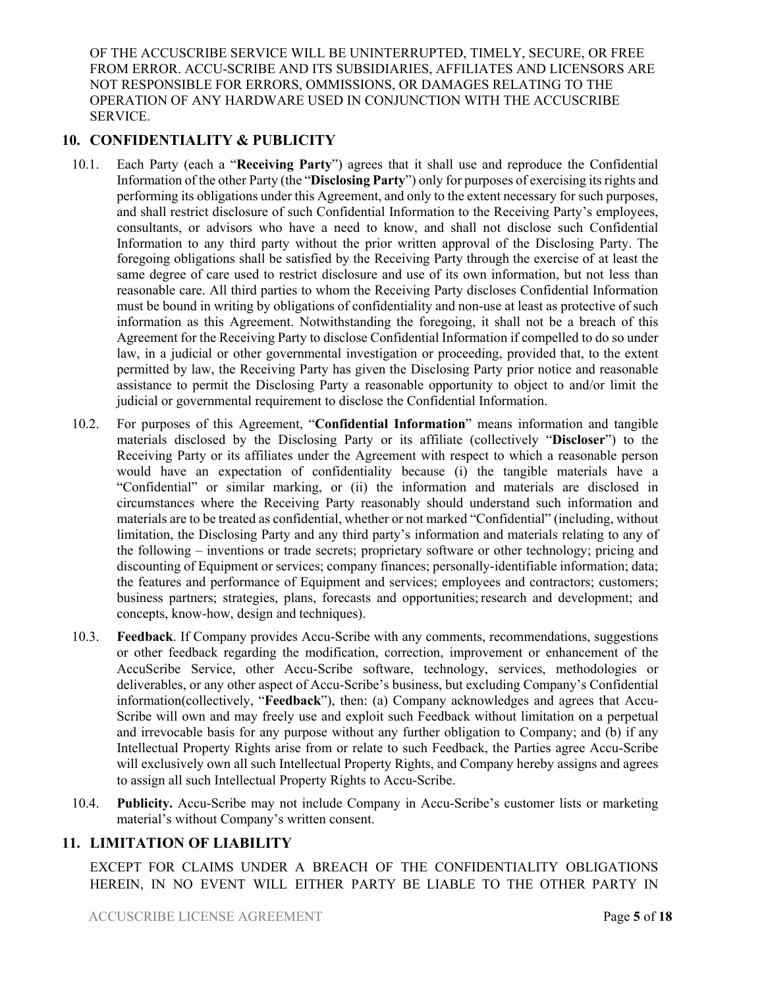OF THE ACCUSCRIBE SERVICE WILL BE UNINTERRUPTED, TIMELY, SECURE, OR FREE FROM ERROR. ACCU-SCRIBE AND ITS SUBSIDIARIES, AFFILIATES AND LICENSORS ARE NOT RESPONSIBLE FOR ERRORS, OMMISSIONS, OR DAMAGES RELATING TO THE OPERATION OF ANY HARDWARE USED IN CONJUNCTION WITH THE ACCUSCRIBE SERVICE.

# **10. CONFIDENTIALITY & PUBLICITY**

- 10.1. Each Party (each a "**Receiving Party**") agrees that it shall use and reproduce the Confidential Information of the other Party (the "**Disclosing Party**") only for purposes of exercising its rights and performing its obligations under this Agreement, and only to the extent necessary for such purposes, and shall restrict disclosure of such Confidential Information to the Receiving Party's employees, consultants, or advisors who have a need to know, and shall not disclose such Confidential Information to any third party without the prior written approval of the Disclosing Party. The foregoing obligations shall be satisfied by the Receiving Party through the exercise of at least the same degree of care used to restrict disclosure and use of its own information, but not less than reasonable care. All third parties to whom the Receiving Party discloses Confidential Information must be bound in writing by obligations of confidentiality and non-use at least as protective of such information as this Agreement. Notwithstanding the foregoing, it shall not be a breach of this Agreement for the Receiving Party to disclose Confidential Information if compelled to do so under law, in a judicial or other governmental investigation or proceeding, provided that, to the extent permitted by law, the Receiving Party has given the Disclosing Party prior notice and reasonable assistance to permit the Disclosing Party a reasonable opportunity to object to and/or limit the judicial or governmental requirement to disclose the Confidential Information.
- 10.2. For purposes of this Agreement, "**Confidential Information**" means information and tangible materials disclosed by the Disclosing Party or its affiliate (collectively "**Discloser**") to the Receiving Party or its affiliates under the Agreement with respect to which a reasonable person would have an expectation of confidentiality because (i) the tangible materials have a "Confidential" or similar marking, or (ii) the information and materials are disclosed in circumstances where the Receiving Party reasonably should understand such information and materials are to be treated as confidential, whether or not marked "Confidential" (including, without limitation, the Disclosing Party and any third party's information and materials relating to any of the following – inventions or trade secrets; proprietary software or other technology; pricing and discounting of Equipment or services; company finances; personally-identifiable information; data; the features and performance of Equipment and services; employees and contractors; customers; business partners; strategies, plans, forecasts and opportunities; research and development; and concepts, know-how, design and techniques).
- 10.3. **Feedback**. If Company provides Accu-Scribe with any comments, recommendations, suggestions or other feedback regarding the modification, correction, improvement or enhancement of the AccuScribe Service, other Accu-Scribe software, technology, services, methodologies or deliverables, or any other aspect of Accu-Scribe's business, but excluding Company's Confidential information(collectively, "**Feedback**"), then: (a) Company acknowledges and agrees that Accu-Scribe will own and may freely use and exploit such Feedback without limitation on a perpetual and irrevocable basis for any purpose without any further obligation to Company; and (b) if any Intellectual Property Rights arise from or relate to such Feedback, the Parties agree Accu-Scribe will exclusively own all such Intellectual Property Rights, and Company hereby assigns and agrees to assign all such Intellectual Property Rights to Accu-Scribe.
- 10.4. **Publicity.** Accu-Scribe may not include Company in Accu-Scribe's customer lists or marketing material's without Company's written consent.

## **11. LIMITATION OF LIABILITY**

EXCEPT FOR CLAIMS UNDER A BREACH OF THE CONFIDENTIALITY OBLIGATIONS HEREIN, IN NO EVENT WILL EITHER PARTY BE LIABLE TO THE OTHER PARTY IN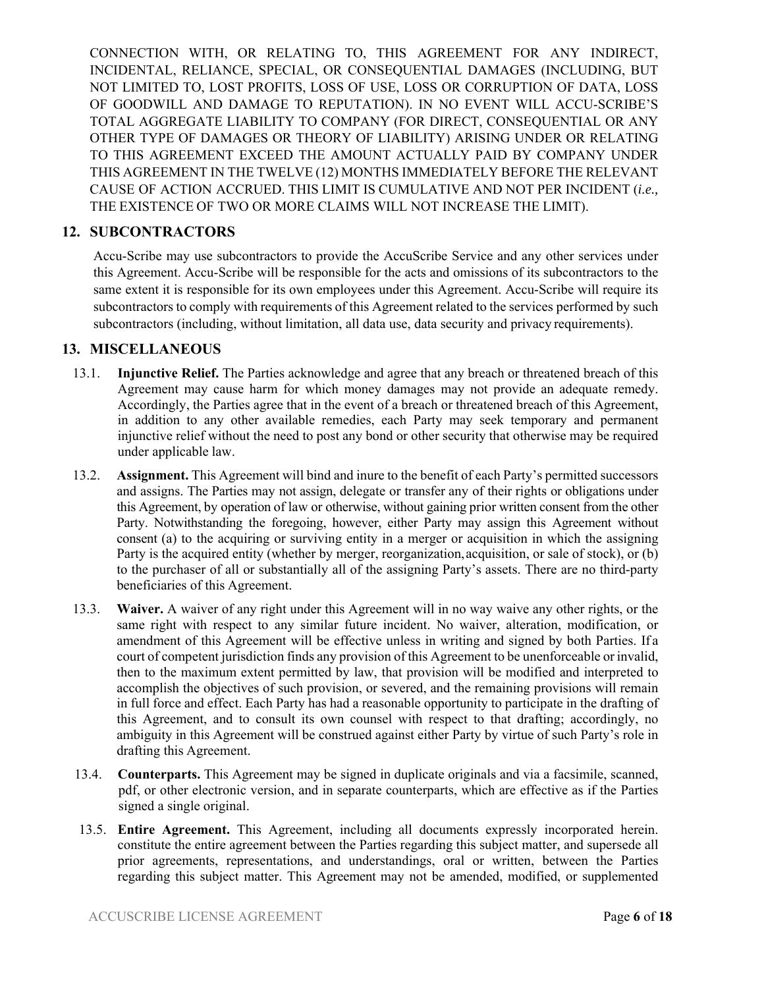CONNECTION WITH, OR RELATING TO, THIS AGREEMENT FOR ANY INDIRECT, INCIDENTAL, RELIANCE, SPECIAL, OR CONSEQUENTIAL DAMAGES (INCLUDING, BUT NOT LIMITED TO, LOST PROFITS, LOSS OF USE, LOSS OR CORRUPTION OF DATA, LOSS OF GOODWILL AND DAMAGE TO REPUTATION). IN NO EVENT WILL ACCU-SCRIBE'S TOTAL AGGREGATE LIABILITY TO COMPANY (FOR DIRECT, CONSEQUENTIAL OR ANY OTHER TYPE OF DAMAGES OR THEORY OF LIABILITY) ARISING UNDER OR RELATING TO THIS AGREEMENT EXCEED THE AMOUNT ACTUALLY PAID BY COMPANY UNDER THIS AGREEMENT IN THE TWELVE (12) MONTHS IMMEDIATELY BEFORE THE RELEVANT CAUSE OF ACTION ACCRUED. THIS LIMIT IS CUMULATIVE AND NOT PER INCIDENT (*i.e.,*  THE EXISTENCE OF TWO OR MORE CLAIMS WILL NOT INCREASE THE LIMIT).

## **12. SUBCONTRACTORS**

Accu-Scribe may use subcontractors to provide the AccuScribe Service and any other services under this Agreement. Accu-Scribe will be responsible for the acts and omissions of its subcontractors to the same extent it is responsible for its own employees under this Agreement. Accu-Scribe will require its subcontractors to comply with requirements of this Agreement related to the services performed by such subcontractors (including, without limitation, all data use, data security and privacy requirements).

## **13. MISCELLANEOUS**

- 13.1. **Injunctive Relief.** The Parties acknowledge and agree that any breach or threatened breach of this Agreement may cause harm for which money damages may not provide an adequate remedy. Accordingly, the Parties agree that in the event of a breach or threatened breach of this Agreement, in addition to any other available remedies, each Party may seek temporary and permanent injunctive relief without the need to post any bond or other security that otherwise may be required under applicable law.
- 13.2. **Assignment.** This Agreement will bind and inure to the benefit of each Party's permitted successors and assigns. The Parties may not assign, delegate or transfer any of their rights or obligations under this Agreement, by operation of law or otherwise, without gaining prior written consent from the other Party. Notwithstanding the foregoing, however, either Party may assign this Agreement without consent (a) to the acquiring or surviving entity in a merger or acquisition in which the assigning Party is the acquired entity (whether by merger, reorganization, acquisition, or sale of stock), or (b) to the purchaser of all or substantially all of the assigning Party's assets. There are no third-party beneficiaries of this Agreement.
- 13.3. **Waiver.** A waiver of any right under this Agreement will in no way waive any other rights, or the same right with respect to any similar future incident. No waiver, alteration, modification, or amendment of this Agreement will be effective unless in writing and signed by both Parties. If a court of competent jurisdiction finds any provision of this Agreement to be unenforceable or invalid, then to the maximum extent permitted by law, that provision will be modified and interpreted to accomplish the objectives of such provision, or severed, and the remaining provisions will remain in full force and effect. Each Party has had a reasonable opportunity to participate in the drafting of this Agreement, and to consult its own counsel with respect to that drafting; accordingly, no ambiguity in this Agreement will be construed against either Party by virtue of such Party's role in drafting this Agreement.
- 13.4. **Counterparts.** This Agreement may be signed in duplicate originals and via a facsimile, scanned, pdf, or other electronic version, and in separate counterparts, which are effective as if the Parties signed a single original.
- 13.5. **Entire Agreement.** This Agreement, including all documents expressly incorporated herein. constitute the entire agreement between the Parties regarding this subject matter, and supersede all prior agreements, representations, and understandings, oral or written, between the Parties regarding this subject matter. This Agreement may not be amended, modified, or supplemented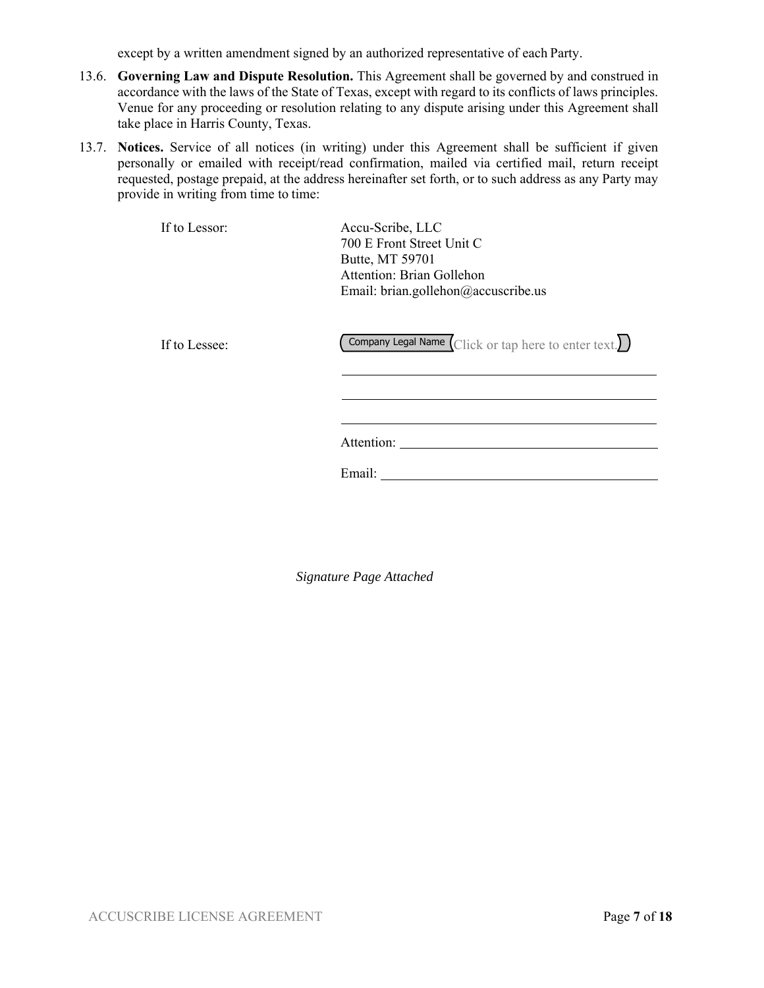except by a written amendment signed by an authorized representative of each Party.

- 13.6. **Governing Law and Dispute Resolution.** This Agreement shall be governed by and construed in accordance with the laws of the State of Texas, except with regard to its conflicts of laws principles. Venue for any proceeding or resolution relating to any dispute arising under this Agreement shall take place in Harris County, Texas.
- 13.7. **Notices.** Service of all notices (in writing) under this Agreement shall be sufficient if given personally or emailed with receipt/read confirmation, mailed via certified mail, return receipt requested, postage prepaid, at the address hereinafter set forth, or to such address as any Party may provide in writing from time to time:

| If to Lessor: | Accu-Scribe, LLC                    |
|---------------|-------------------------------------|
|               | 700 E Front Street Unit C           |
|               | Butte, MT 59701                     |
|               | Attention: Brian Gollehon           |
|               | Email: brian.gollehon@accuscribe.us |
|               |                                     |

If to Lessee: Company Legal Name  $\boxed{\text{Click or tap here to enter text.}}$ 

Attention:

Email:

*Signature Page Attached*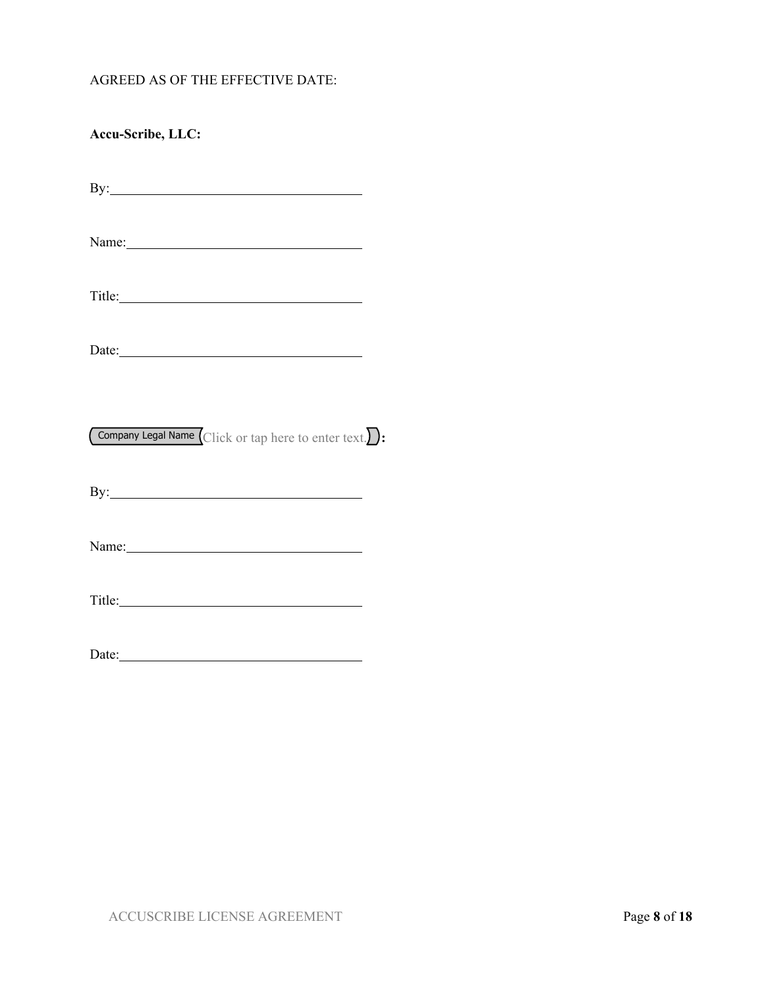### AGREED AS OF THE EFFECTIVE DATE:

| Accu-Scribe, LLC:                                                                                                                                                                                                                    |  |
|--------------------------------------------------------------------------------------------------------------------------------------------------------------------------------------------------------------------------------------|--|
| By: <u>superior and the set of the set of the set of the set of the set of the set of the set of the set of the set of the set of the set of the set of the set of the set of the set of the set of the set of the set of the se</u> |  |
| Name: Name and the service of the service of the service of the service of the service of the service of the service of the service of the service of the service of the service of the service of the service of the service        |  |
|                                                                                                                                                                                                                                      |  |
|                                                                                                                                                                                                                                      |  |
| Company Legal Name Click or tap here to enter text.                                                                                                                                                                                  |  |
| By: $\qquad \qquad$                                                                                                                                                                                                                  |  |
| Name: Name and the set of the set of the set of the set of the set of the set of the set of the set of the set of the set of the set of the set of the set of the set of the set of the set of the set of the set of the set o       |  |
|                                                                                                                                                                                                                                      |  |
|                                                                                                                                                                                                                                      |  |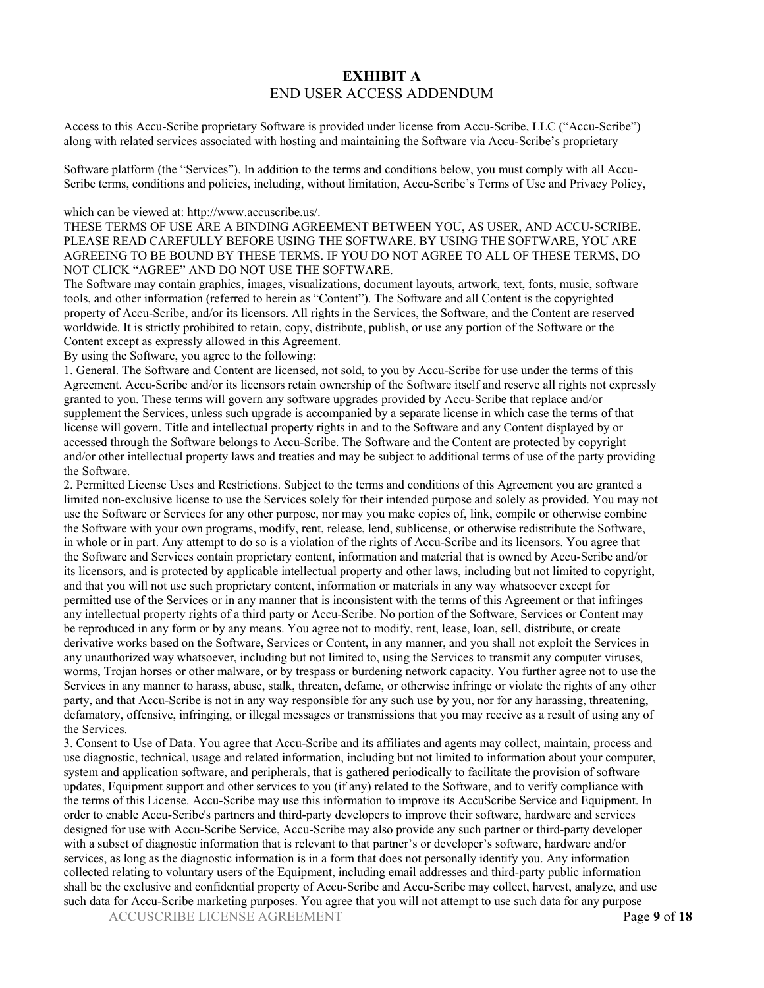### **EXHIBIT A**  END USER ACCESS ADDENDUM

Access to this Accu-Scribe proprietary Software is provided under license from Accu-Scribe, LLC ("Accu-Scribe") along with related services associated with hosting and maintaining the Software via Accu-Scribe's proprietary

Software platform (the "Services"). In addition to the terms and conditions below, you must comply with all Accu-Scribe terms, conditions and policies, including, without limitation, Accu-Scribe's Terms of Use and Privacy Policy,

#### which can be viewed at: http://www.accuscribe.us/.

THESE TERMS OF USE ARE A BINDING AGREEMENT BETWEEN YOU, AS USER, AND ACCU-SCRIBE. PLEASE READ CAREFULLY BEFORE USING THE SOFTWARE. BY USING THE SOFTWARE, YOU ARE AGREEING TO BE BOUND BY THESE TERMS. IF YOU DO NOT AGREE TO ALL OF THESE TERMS, DO NOT CLICK "AGREE" AND DO NOT USE THE SOFTWARE.

The Software may contain graphics, images, visualizations, document layouts, artwork, text, fonts, music, software tools, and other information (referred to herein as "Content"). The Software and all Content is the copyrighted property of Accu-Scribe, and/or its licensors. All rights in the Services, the Software, and the Content are reserved worldwide. It is strictly prohibited to retain, copy, distribute, publish, or use any portion of the Software or the Content except as expressly allowed in this Agreement.

By using the Software, you agree to the following:

1. General. The Software and Content are licensed, not sold, to you by Accu-Scribe for use under the terms of this Agreement. Accu-Scribe and/or its licensors retain ownership of the Software itself and reserve all rights not expressly granted to you. These terms will govern any software upgrades provided by Accu-Scribe that replace and/or supplement the Services, unless such upgrade is accompanied by a separate license in which case the terms of that license will govern. Title and intellectual property rights in and to the Software and any Content displayed by or accessed through the Software belongs to Accu-Scribe. The Software and the Content are protected by copyright and/or other intellectual property laws and treaties and may be subject to additional terms of use of the party providing the Software.

2. Permitted License Uses and Restrictions. Subject to the terms and conditions of this Agreement you are granted a limited non-exclusive license to use the Services solely for their intended purpose and solely as provided. You may not use the Software or Services for any other purpose, nor may you make copies of, link, compile or otherwise combine the Software with your own programs, modify, rent, release, lend, sublicense, or otherwise redistribute the Software, in whole or in part. Any attempt to do so is a violation of the rights of Accu-Scribe and its licensors. You agree that the Software and Services contain proprietary content, information and material that is owned by Accu-Scribe and/or its licensors, and is protected by applicable intellectual property and other laws, including but not limited to copyright, and that you will not use such proprietary content, information or materials in any way whatsoever except for permitted use of the Services or in any manner that is inconsistent with the terms of this Agreement or that infringes any intellectual property rights of a third party or Accu-Scribe. No portion of the Software, Services or Content may be reproduced in any form or by any means. You agree not to modify, rent, lease, loan, sell, distribute, or create derivative works based on the Software, Services or Content, in any manner, and you shall not exploit the Services in any unauthorized way whatsoever, including but not limited to, using the Services to transmit any computer viruses, worms, Trojan horses or other malware, or by trespass or burdening network capacity. You further agree not to use the Services in any manner to harass, abuse, stalk, threaten, defame, or otherwise infringe or violate the rights of any other party, and that Accu-Scribe is not in any way responsible for any such use by you, nor for any harassing, threatening, defamatory, offensive, infringing, or illegal messages or transmissions that you may receive as a result of using any of the Services.

3. Consent to Use of Data. You agree that Accu-Scribe and its affiliates and agents may collect, maintain, process and use diagnostic, technical, usage and related information, including but not limited to information about your computer, system and application software, and peripherals, that is gathered periodically to facilitate the provision of software updates, Equipment support and other services to you (if any) related to the Software, and to verify compliance with the terms of this License. Accu-Scribe may use this information to improve its AccuScribe Service and Equipment. In order to enable Accu-Scribe's partners and third-party developers to improve their software, hardware and services designed for use with Accu-Scribe Service, Accu-Scribe may also provide any such partner or third-party developer with a subset of diagnostic information that is relevant to that partner's or developer's software, hardware and/or services, as long as the diagnostic information is in a form that does not personally identify you. Any information collected relating to voluntary users of the Equipment, including email addresses and third-party public information shall be the exclusive and confidential property of Accu-Scribe and Accu-Scribe may collect, harvest, analyze, and use such data for Accu-Scribe marketing purposes. You agree that you will not attempt to use such data for any purpose

ACCUSCRIBE LICENSE AGREEMENT Page **9** of **18**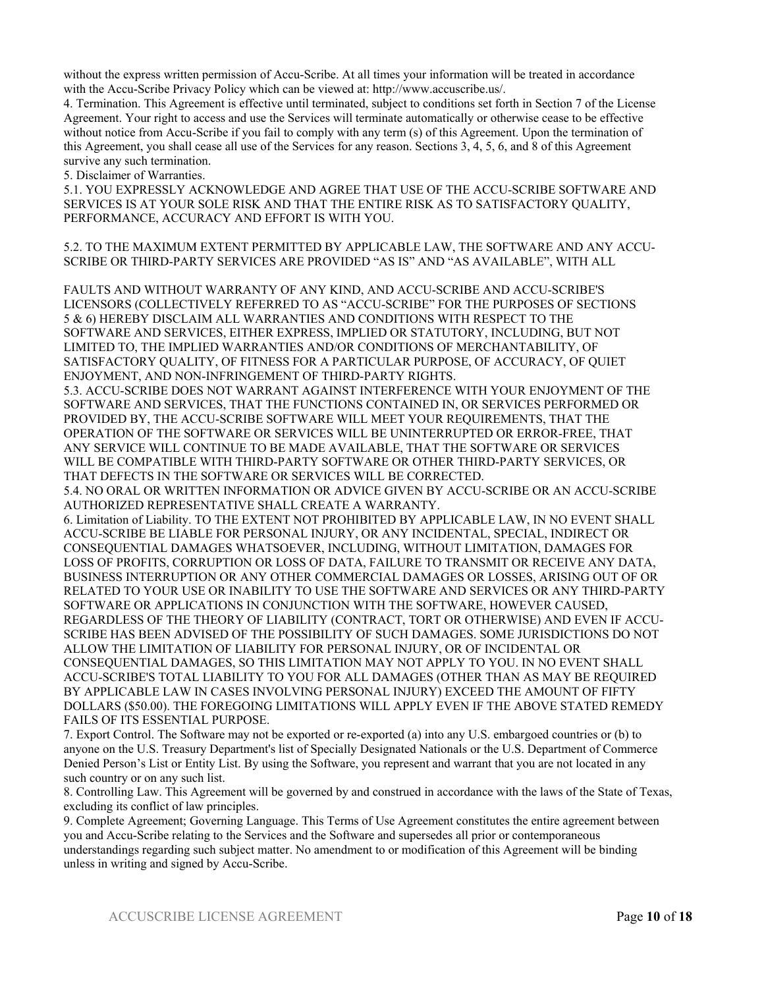without the express written permission of Accu-Scribe. At all times your information will be treated in accordance with the Accu-Scribe Privacy Policy which can be viewed at: http://www.accuscribe.us/.

4. Termination. This Agreement is effective until terminated, subject to conditions set forth in Section 7 of the License Agreement. Your right to access and use the Services will terminate automatically or otherwise cease to be effective without notice from Accu-Scribe if you fail to comply with any term (s) of this Agreement. Upon the termination of this Agreement, you shall cease all use of the Services for any reason. Sections 3, 4, 5, 6, and 8 of this Agreement survive any such termination.

5. Disclaimer of Warranties.

5.1. YOU EXPRESSLY ACKNOWLEDGE AND AGREE THAT USE OF THE ACCU-SCRIBE SOFTWARE AND SERVICES IS AT YOUR SOLE RISK AND THAT THE ENTIRE RISK AS TO SATISFACTORY QUALITY, PERFORMANCE, ACCURACY AND EFFORT IS WITH YOU.

5.2. TO THE MAXIMUM EXTENT PERMITTED BY APPLICABLE LAW, THE SOFTWARE AND ANY ACCU-SCRIBE OR THIRD-PARTY SERVICES ARE PROVIDED "AS IS" AND "AS AVAILABLE", WITH ALL

FAULTS AND WITHOUT WARRANTY OF ANY KIND, AND ACCU-SCRIBE AND ACCU-SCRIBE'S LICENSORS (COLLECTIVELY REFERRED TO AS "ACCU-SCRIBE" FOR THE PURPOSES OF SECTIONS 5 & 6) HEREBY DISCLAIM ALL WARRANTIES AND CONDITIONS WITH RESPECT TO THE SOFTWARE AND SERVICES, EITHER EXPRESS, IMPLIED OR STATUTORY, INCLUDING, BUT NOT LIMITED TO, THE IMPLIED WARRANTIES AND/OR CONDITIONS OF MERCHANTABILITY, OF SATISFACTORY QUALITY, OF FITNESS FOR A PARTICULAR PURPOSE, OF ACCURACY, OF QUIET ENJOYMENT, AND NON-INFRINGEMENT OF THIRD-PARTY RIGHTS.

5.3. ACCU-SCRIBE DOES NOT WARRANT AGAINST INTERFERENCE WITH YOUR ENJOYMENT OF THE SOFTWARE AND SERVICES, THAT THE FUNCTIONS CONTAINED IN, OR SERVICES PERFORMED OR PROVIDED BY, THE ACCU-SCRIBE SOFTWARE WILL MEET YOUR REQUIREMENTS, THAT THE OPERATION OF THE SOFTWARE OR SERVICES WILL BE UNINTERRUPTED OR ERROR-FREE, THAT ANY SERVICE WILL CONTINUE TO BE MADE AVAILABLE, THAT THE SOFTWARE OR SERVICES WILL BE COMPATIBLE WITH THIRD-PARTY SOFTWARE OR OTHER THIRD-PARTY SERVICES, OR THAT DEFECTS IN THE SOFTWARE OR SERVICES WILL BE CORRECTED.

5.4. NO ORAL OR WRITTEN INFORMATION OR ADVICE GIVEN BY ACCU-SCRIBE OR AN ACCU-SCRIBE AUTHORIZED REPRESENTATIVE SHALL CREATE A WARRANTY.

6. Limitation of Liability. TO THE EXTENT NOT PROHIBITED BY APPLICABLE LAW, IN NO EVENT SHALL ACCU-SCRIBE BE LIABLE FOR PERSONAL INJURY, OR ANY INCIDENTAL, SPECIAL, INDIRECT OR CONSEQUENTIAL DAMAGES WHATSOEVER, INCLUDING, WITHOUT LIMITATION, DAMAGES FOR LOSS OF PROFITS, CORRUPTION OR LOSS OF DATA, FAILURE TO TRANSMIT OR RECEIVE ANY DATA, BUSINESS INTERRUPTION OR ANY OTHER COMMERCIAL DAMAGES OR LOSSES, ARISING OUT OF OR RELATED TO YOUR USE OR INABILITY TO USE THE SOFTWARE AND SERVICES OR ANY THIRD-PARTY SOFTWARE OR APPLICATIONS IN CONJUNCTION WITH THE SOFTWARE, HOWEVER CAUSED, REGARDLESS OF THE THEORY OF LIABILITY (CONTRACT, TORT OR OTHERWISE) AND EVEN IF ACCU-SCRIBE HAS BEEN ADVISED OF THE POSSIBILITY OF SUCH DAMAGES. SOME JURISDICTIONS DO NOT ALLOW THE LIMITATION OF LIABILITY FOR PERSONAL INJURY, OR OF INCIDENTAL OR CONSEQUENTIAL DAMAGES, SO THIS LIMITATION MAY NOT APPLY TO YOU. IN NO EVENT SHALL ACCU-SCRIBE'S TOTAL LIABILITY TO YOU FOR ALL DAMAGES (OTHER THAN AS MAY BE REQUIRED BY APPLICABLE LAW IN CASES INVOLVING PERSONAL INJURY) EXCEED THE AMOUNT OF FIFTY DOLLARS (\$50.00). THE FOREGOING LIMITATIONS WILL APPLY EVEN IF THE ABOVE STATED REMEDY FAILS OF ITS ESSENTIAL PURPOSE.

7. Export Control. The Software may not be exported or re-exported (a) into any U.S. embargoed countries or (b) to anyone on the U.S. Treasury Department's list of Specially Designated Nationals or the U.S. Department of Commerce Denied Person's List or Entity List. By using the Software, you represent and warrant that you are not located in any such country or on any such list.

8. Controlling Law. This Agreement will be governed by and construed in accordance with the laws of the State of Texas, excluding its conflict of law principles.

9. Complete Agreement; Governing Language. This Terms of Use Agreement constitutes the entire agreement between you and Accu-Scribe relating to the Services and the Software and supersedes all prior or contemporaneous understandings regarding such subject matter. No amendment to or modification of this Agreement will be binding unless in writing and signed by Accu-Scribe.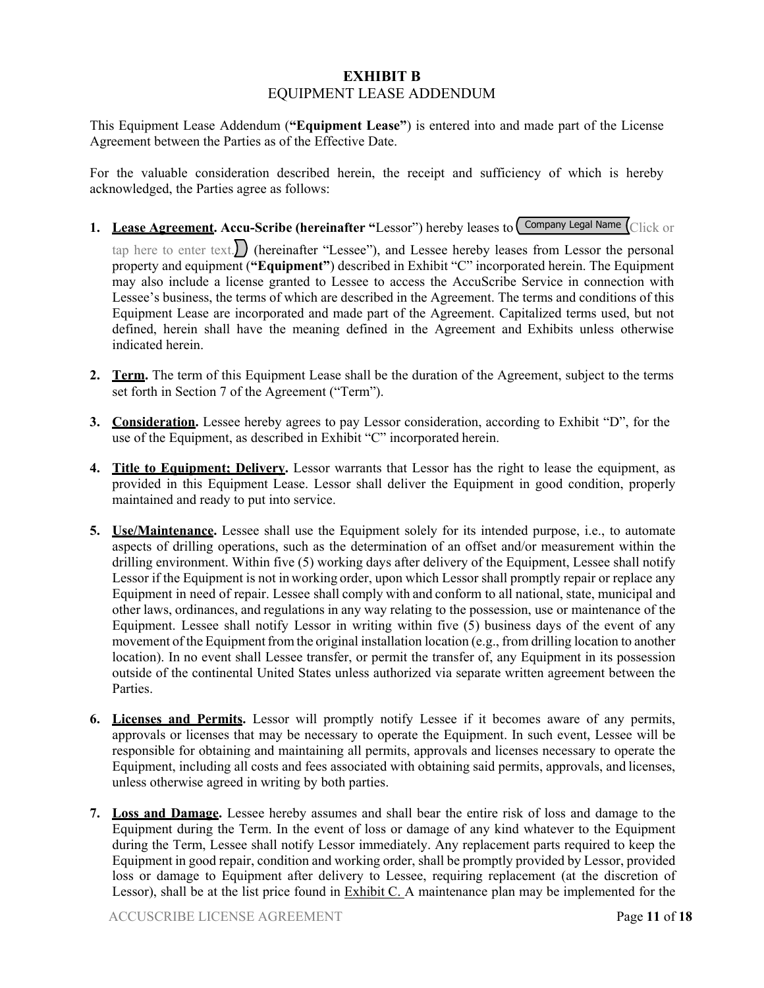## **EXHIBIT B**  EQUIPMENT LEASE ADDENDUM

This Equipment Lease Addendum (**"Equipment Lease"**) is entered into and made part of the License Agreement between the Parties as of the Effective Date.

For the valuable consideration described herein, the receipt and sufficiency of which is hereby acknowledged, the Parties agree as follows:

**1.** Lease Agreement. Accu-Scribe (hereinafter "Lessor") hereby leases to Company Legal Name Click or

tap here to enter text.) (hereinafter "Lessee"), and Lessee hereby leases from Lessor the personal property and equipment (**"Equipment"**) described in Exhibit "C" incorporated herein. The Equipment may also include a license granted to Lessee to access the AccuScribe Service in connection with Lessee's business, the terms of which are described in the Agreement. The terms and conditions of this Equipment Lease are incorporated and made part of the Agreement. Capitalized terms used, but not defined, herein shall have the meaning defined in the Agreement and Exhibits unless otherwise indicated herein.

- **2. Term.** The term of this Equipment Lease shall be the duration of the Agreement, subject to the terms set forth in Section 7 of the Agreement ("Term").
- **3. Consideration.** Lessee hereby agrees to pay Lessor consideration, according to Exhibit "D", for the use of the Equipment, as described in Exhibit "C" incorporated herein.
- **4. Title to Equipment; Delivery.** Lessor warrants that Lessor has the right to lease the equipment, as provided in this Equipment Lease. Lessor shall deliver the Equipment in good condition, properly maintained and ready to put into service.
- **5. Use/Maintenance.** Lessee shall use the Equipment solely for its intended purpose, i.e., to automate aspects of drilling operations, such as the determination of an offset and/or measurement within the drilling environment. Within five (5) working days after delivery of the Equipment, Lessee shall notify Lessor if the Equipment is not in working order, upon which Lessor shall promptly repair or replace any Equipment in need of repair. Lessee shall comply with and conform to all national, state, municipal and other laws, ordinances, and regulations in any way relating to the possession, use or maintenance of the Equipment. Lessee shall notify Lessor in writing within five  $(5)$  business days of the event of any movement of the Equipment from the original installation location (e.g., from drilling location to another location). In no event shall Lessee transfer, or permit the transfer of, any Equipment in its possession outside of the continental United States unless authorized via separate written agreement between the Parties.
- **6. Licenses and Permits.** Lessor will promptly notify Lessee if it becomes aware of any permits, approvals or licenses that may be necessary to operate the Equipment. In such event, Lessee will be responsible for obtaining and maintaining all permits, approvals and licenses necessary to operate the Equipment, including all costs and fees associated with obtaining said permits, approvals, and licenses, unless otherwise agreed in writing by both parties.
- **7. Loss and Damage.** Lessee hereby assumes and shall bear the entire risk of loss and damage to the Equipment during the Term. In the event of loss or damage of any kind whatever to the Equipment during the Term, Lessee shall notify Lessor immediately. Any replacement parts required to keep the Equipment in good repair, condition and working order, shall be promptly provided by Lessor, provided loss or damage to Equipment after delivery to Lessee, requiring replacement (at the discretion of Lessor), shall be at the list price found in Exhibit C. A maintenance plan may be implemented for the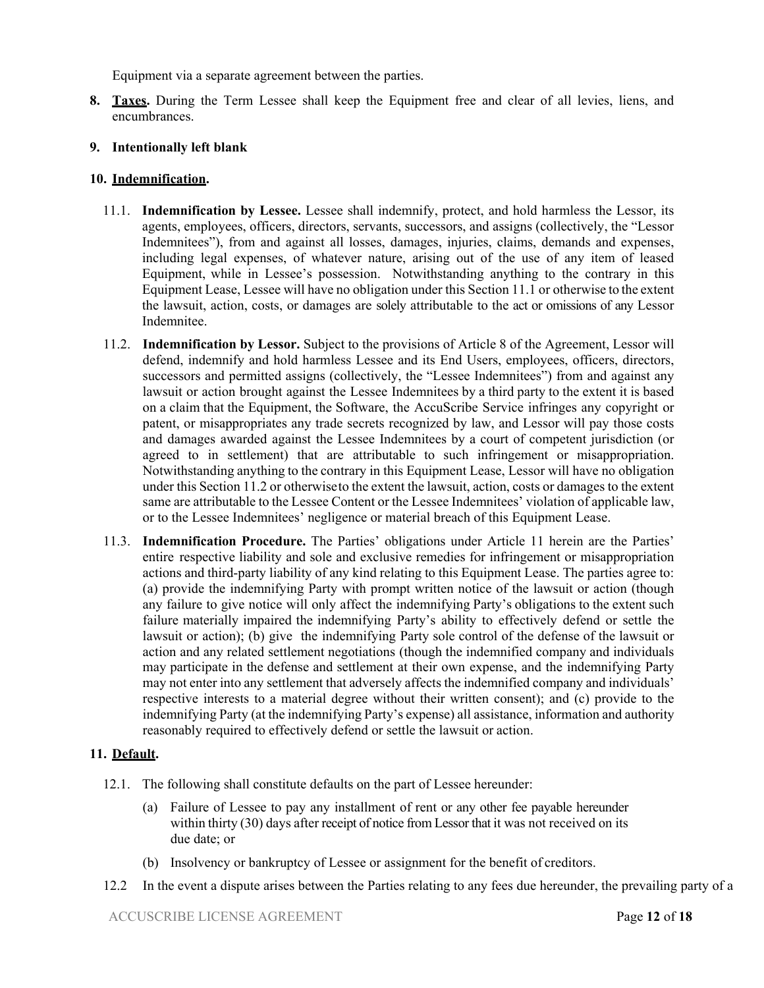Equipment via a separate agreement between the parties.

**8. Taxes.** During the Term Lessee shall keep the Equipment free and clear of all levies, liens, and encumbrances.

### **9. Intentionally left blank**

### **10. Indemnification.**

- 11.1. **Indemnification by Lessee.** Lessee shall indemnify, protect, and hold harmless the Lessor, its agents, employees, officers, directors, servants, successors, and assigns (collectively, the "Lessor Indemnitees"), from and against all losses, damages, injuries, claims, demands and expenses, including legal expenses, of whatever nature, arising out of the use of any item of leased Equipment, while in Lessee's possession. Notwithstanding anything to the contrary in this Equipment Lease, Lessee will have no obligation under this Section 11.1 or otherwise to the extent the lawsuit, action, costs, or damages are solely attributable to the act or omissions of any Lessor Indemnitee.
- 11.2. **Indemnification by Lessor.** Subject to the provisions of Article 8 of the Agreement, Lessor will defend, indemnify and hold harmless Lessee and its End Users, employees, officers, directors, successors and permitted assigns (collectively, the "Lessee Indemnitees") from and against any lawsuit or action brought against the Lessee Indemnitees by a third party to the extent it is based on a claim that the Equipment, the Software, the AccuScribe Service infringes any copyright or patent, or misappropriates any trade secrets recognized by law, and Lessor will pay those costs and damages awarded against the Lessee Indemnitees by a court of competent jurisdiction (or agreed to in settlement) that are attributable to such infringement or misappropriation. Notwithstanding anything to the contrary in this Equipment Lease, Lessor will have no obligation under this Section 11.2 or otherwise to the extent the lawsuit, action, costs or damages to the extent same are attributable to the Lessee Content or the Lessee Indemnitees' violation of applicable law, or to the Lessee Indemnitees' negligence or material breach of this Equipment Lease.
- 11.3. **Indemnification Procedure.** The Parties' obligations under Article 11 herein are the Parties' entire respective liability and sole and exclusive remedies for infringement or misappropriation actions and third-party liability of any kind relating to this Equipment Lease. The parties agree to: (a) provide the indemnifying Party with prompt written notice of the lawsuit or action (though any failure to give notice will only affect the indemnifying Party's obligations to the extent such failure materially impaired the indemnifying Party's ability to effectively defend or settle the lawsuit or action); (b) give the indemnifying Party sole control of the defense of the lawsuit or action and any related settlement negotiations (though the indemnified company and individuals may participate in the defense and settlement at their own expense, and the indemnifying Party may not enter into any settlement that adversely affects the indemnified company and individuals' respective interests to a material degree without their written consent); and (c) provide to the indemnifying Party (at the indemnifying Party's expense) all assistance, information and authority reasonably required to effectively defend or settle the lawsuit or action.

### **11. Default.**

- 12.1. The following shall constitute defaults on the part of Lessee hereunder:
	- (a) Failure of Lessee to pay any installment of rent or any other fee payable hereunder within thirty (30) days after receipt of notice from Lessor that it was not received on its due date; or
	- (b) Insolvency or bankruptcy of Lessee or assignment for the benefit of creditors.
- 12.2 In the event a dispute arises between the Parties relating to any fees due hereunder, the prevailing party of a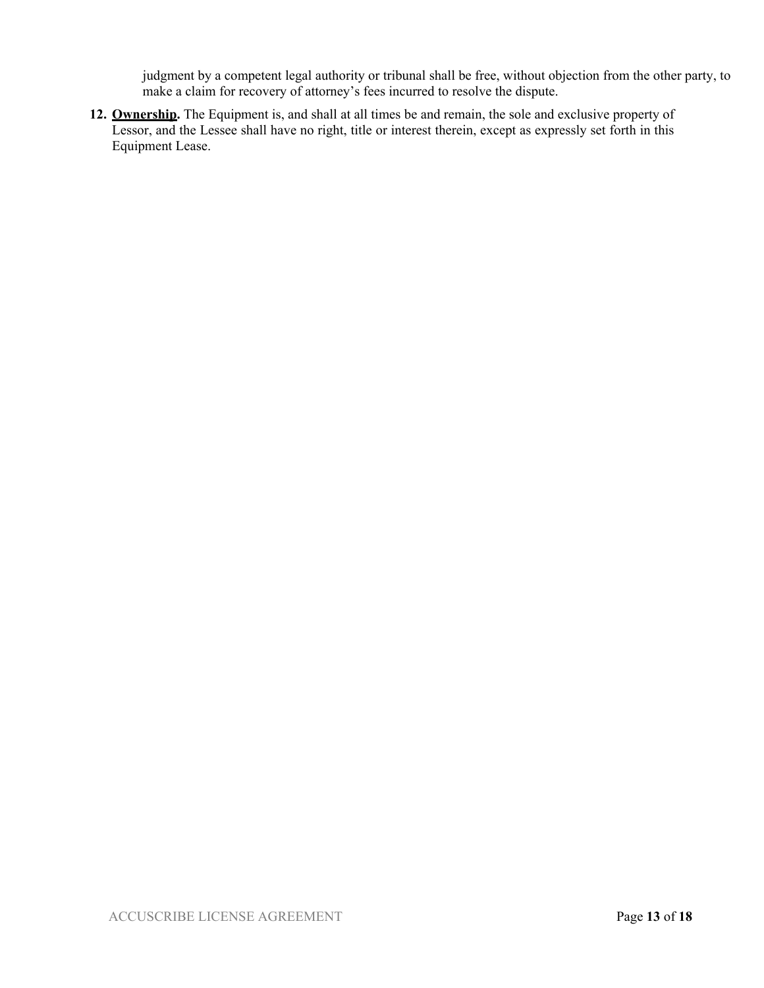judgment by a competent legal authority or tribunal shall be free, without objection from the other party, to make a claim for recovery of attorney's fees incurred to resolve the dispute.

**12. Ownership.** The Equipment is, and shall at all times be and remain, the sole and exclusive property of Lessor, and the Lessee shall have no right, title or interest therein, except as expressly set forth in this Equipment Lease.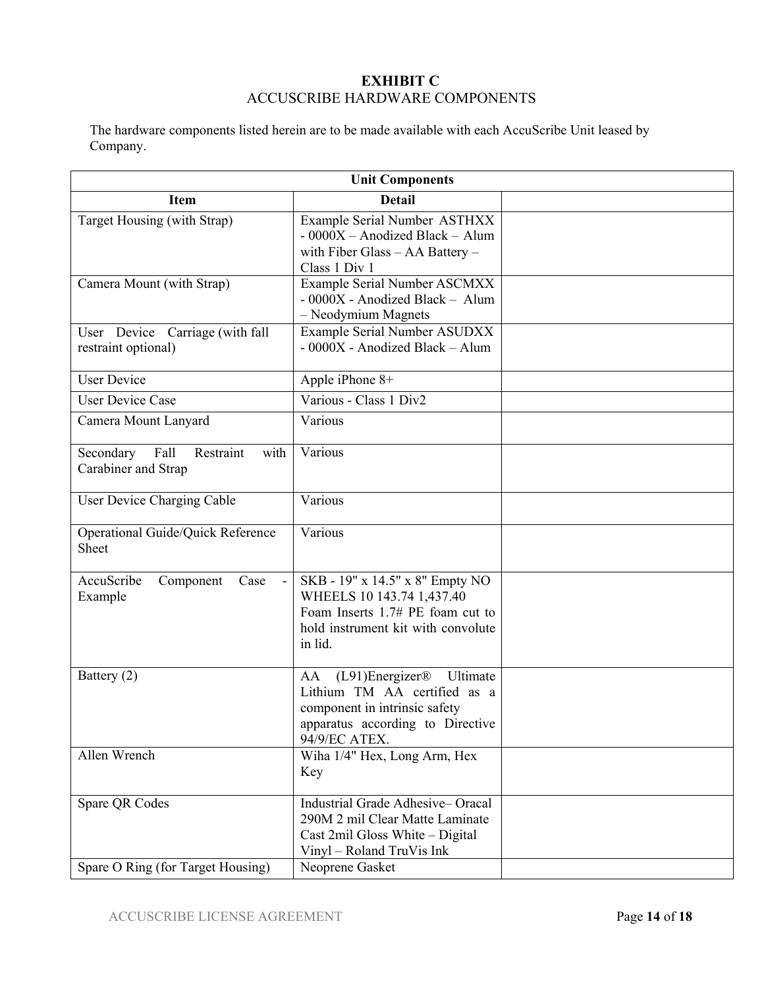## **EXHIBIT C**  ACCUSCRIBE HARDWARE COMPONENTS

The hardware components listed herein are to be made available with each AccuScribe Unit leased by Company.

| <b>Unit Components</b>                                        |                                                                                                                                                                        |  |
|---------------------------------------------------------------|------------------------------------------------------------------------------------------------------------------------------------------------------------------------|--|
| <b>Item</b>                                                   | <b>Detail</b>                                                                                                                                                          |  |
| Target Housing (with Strap)                                   | Example Serial Number ASTHXX<br>- 0000X - Anodized Black - Alum<br>with Fiber Glass $-$ AA Battery $-$<br>Class 1 Div 1                                                |  |
| Camera Mount (with Strap)                                     | Example Serial Number ASCMXX<br>- 0000X - Anodized Black - Alum<br>- Neodymium Magnets                                                                                 |  |
| User Device Carriage (with fall<br>restraint optional)        | Example Serial Number ASUDXX<br>- 0000X - Anodized Black - Alum                                                                                                        |  |
| <b>User Device</b>                                            | Apple iPhone 8+                                                                                                                                                        |  |
| <b>User Device Case</b>                                       | Various - Class 1 Div2                                                                                                                                                 |  |
| Camera Mount Lanyard                                          | Various                                                                                                                                                                |  |
| Restraint<br>Secondary<br>Fall<br>with<br>Carabiner and Strap | Various                                                                                                                                                                |  |
| User Device Charging Cable                                    | Various                                                                                                                                                                |  |
| Operational Guide/Quick Reference<br>Sheet                    | Various                                                                                                                                                                |  |
| AccuScribe<br>Component<br>Case<br>Example                    | SKB - 19" x 14.5" x 8" Empty NO<br>WHEELS 10 143.74 1,437.40<br>Foam Inserts 1.7# PE foam cut to<br>hold instrument kit with convolute<br>in lid.                      |  |
| Battery (2)                                                   | $(L91)$ Energizer <sup>®</sup><br>Ultimate<br>AA<br>Lithium TM AA certified as a<br>component in intrinsic safety<br>apparatus according to Directive<br>94/9/EC ATEX. |  |
| Allen Wrench                                                  | Wiha 1/4" Hex, Long Arm, Hex<br>Key                                                                                                                                    |  |
| Spare QR Codes                                                | Industrial Grade Adhesive-Oracal<br>290M 2 mil Clear Matte Laminate<br>Cast 2mil Gloss White - Digital<br>Vinyl - Roland TruVis Ink                                    |  |
| Spare O Ring (for Target Housing)                             | Neoprene Gasket                                                                                                                                                        |  |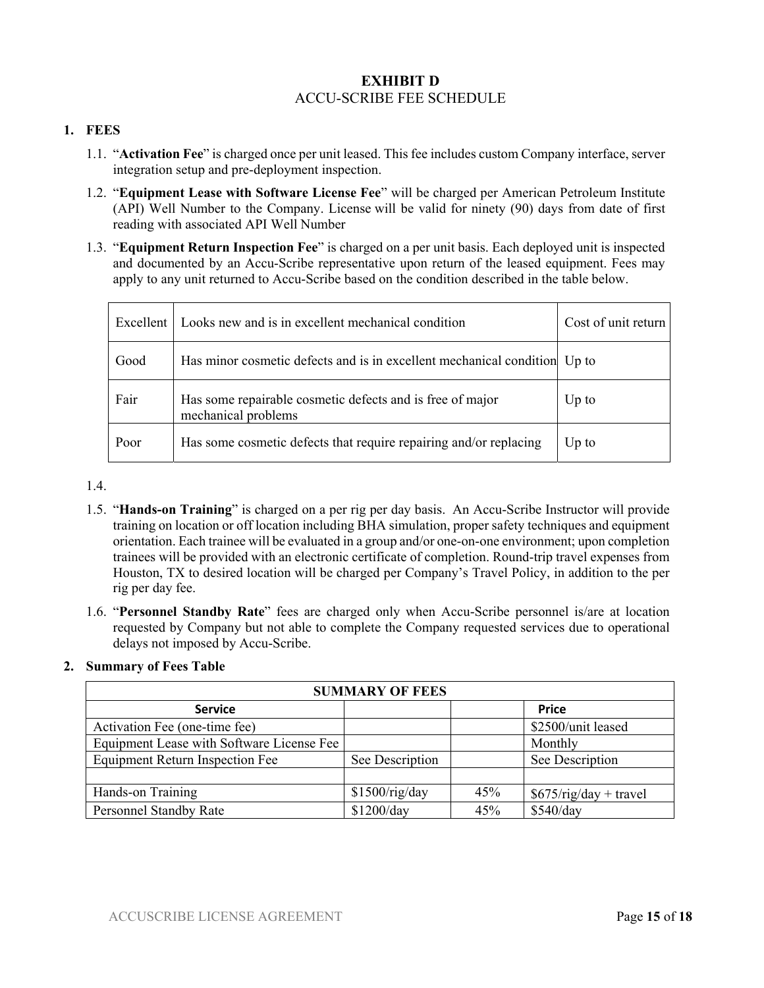## **EXHIBIT D**  ACCU-SCRIBE FEE SCHEDULE

### **1. FEES**

- 1.1. "**Activation Fee**" is charged once per unit leased. This fee includes custom Company interface, server integration setup and pre-deployment inspection.
- 1.2. "**Equipment Lease with Software License Fee**" will be charged per American Petroleum Institute (API) Well Number to the Company. License will be valid for ninety (90) days from date of first reading with associated API Well Number
- 1.3. "**Equipment Return Inspection Fee**" is charged on a per unit basis. Each deployed unit is inspected and documented by an Accu-Scribe representative upon return of the leased equipment. Fees may apply to any unit returned to Accu-Scribe based on the condition described in the table below.

| Excellent | Looks new and is in excellent mechanical condition                               | Cost of unit return |
|-----------|----------------------------------------------------------------------------------|---------------------|
| Good      | Has minor cosmetic defects and is in excellent mechanical condition Up to        |                     |
| Fair      | Has some repairable cosmetic defects and is free of major<br>mechanical problems | $Up$ to             |
| Poor      | Has some cosmetic defects that require repairing and/or replacing                | $Up$ to             |

1.4.

- 1.5. "**Hands-on Training**" is charged on a per rig per day basis. An Accu-Scribe Instructor will provide training on location or off location including BHA simulation, proper safety techniques and equipment orientation. Each trainee will be evaluated in a group and/or one-on-one environment; upon completion trainees will be provided with an electronic certificate of completion. Round-trip travel expenses from Houston, TX to desired location will be charged per Company's Travel Policy, in addition to the per rig per day fee.
- 1.6. "**Personnel Standby Rate**" fees are charged only when Accu-Scribe personnel is/are at location requested by Company but not able to complete the Company requested services due to operational delays not imposed by Accu-Scribe.

### **2. Summary of Fees Table**

| <b>SUMMARY OF FEES</b>                    |                 |     |                         |
|-------------------------------------------|-----------------|-----|-------------------------|
| <b>Service</b>                            |                 |     | <b>Price</b>            |
| Activation Fee (one-time fee)             |                 |     | \$2500/unit leased      |
| Equipment Lease with Software License Fee |                 |     | Monthly                 |
| Equipment Return Inspection Fee           | See Description |     | See Description         |
|                                           |                 |     |                         |
| Hands-on Training                         | \$1500/rig/day  | 45% | $$675/rig/day + travel$ |
| Personnel Standby Rate                    | \$1200/day      | 45% | \$540/day               |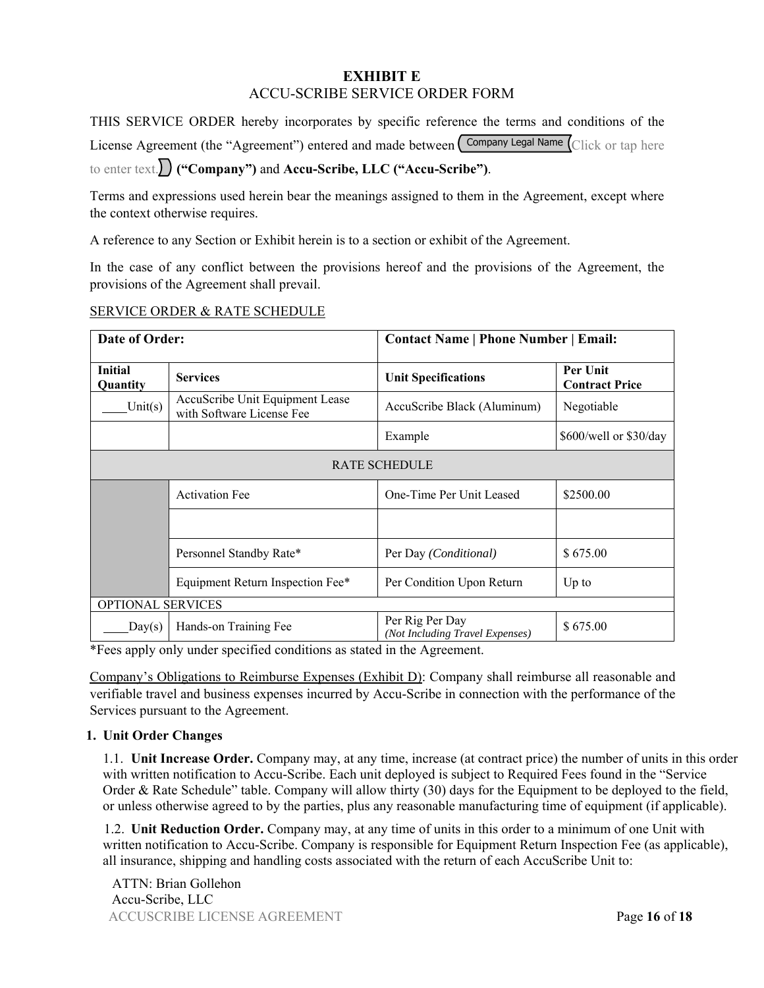## **EXHIBIT E**  ACCU-SCRIBE SERVICE ORDER FORM

THIS SERVICE ORDER hereby incorporates by specific reference the terms and conditions of the License Agreement (the "Agreement") entered and made between Company Legal Name Click or tap here

to enter text. **("Company")** and **Accu-Scribe, LLC ("Accu-Scribe")**.

Terms and expressions used herein bear the meanings assigned to them in the Agreement, except where the context otherwise requires.

A reference to any Section or Exhibit herein is to a section or exhibit of the Agreement.

In the case of any conflict between the provisions hereof and the provisions of the Agreement, the provisions of the Agreement shall prevail.

### SERVICE ORDER & RATE SCHEDULE

| <b>Date of Order:</b>      |                                                              | <b>Contact Name   Phone Number   Email:</b>        |                                   |
|----------------------------|--------------------------------------------------------------|----------------------------------------------------|-----------------------------------|
| <b>Initial</b><br>Quantity | <b>Services</b>                                              | <b>Unit Specifications</b>                         | Per Unit<br><b>Contract Price</b> |
| Unit $(s)$                 | AccuScribe Unit Equipment Lease<br>with Software License Fee | AccuScribe Black (Aluminum)                        | Negotiable                        |
|                            |                                                              | Example                                            | \$600/well or \$30/day            |
|                            |                                                              | <b>RATE SCHEDULE</b>                               |                                   |
|                            | <b>Activation Fee</b>                                        | One-Time Per Unit Leased                           | \$2500.00                         |
|                            |                                                              |                                                    |                                   |
|                            | Personnel Standby Rate*                                      | Per Day ( <i>Conditional</i> )                     | \$675.00                          |
|                            | Equipment Return Inspection Fee*                             | Per Condition Upon Return                          | $Up$ to                           |
| <b>OPTIONAL SERVICES</b>   |                                                              |                                                    |                                   |
| Day(s)                     | Hands-on Training Fee                                        | Per Rig Per Day<br>(Not Including Travel Expenses) | \$675.00                          |

\*Fees apply only under specified conditions as stated in the Agreement.

 Company's Obligations to Reimburse Expenses (Exhibit D): Company shall reimburse all reasonable and verifiable travel and business expenses incurred by Accu-Scribe in connection with the performance of the Services pursuant to the Agreement.

### **1. Unit Order Changes**

1.1. **Unit Increase Order.** Company may, at any time, increase (at contract price) the number of units in this order with written notification to Accu-Scribe. Each unit deployed is subject to Required Fees found in the "Service Order & Rate Schedule" table. Company will allow thirty (30) days for the Equipment to be deployed to the field, or unless otherwise agreed to by the parties, plus any reasonable manufacturing time of equipment (if applicable).

1.2. **Unit Reduction Order.** Company may, at any time of units in this order to a minimum of one Unit with written notification to Accu-Scribe. Company is responsible for Equipment Return Inspection Fee (as applicable), all insurance, shipping and handling costs associated with the return of each AccuScribe Unit to:

ACCUSCRIBE LICENSE AGREEMENT Page **16** of **18** ATTN: Brian Gollehon Accu-Scribe, LLC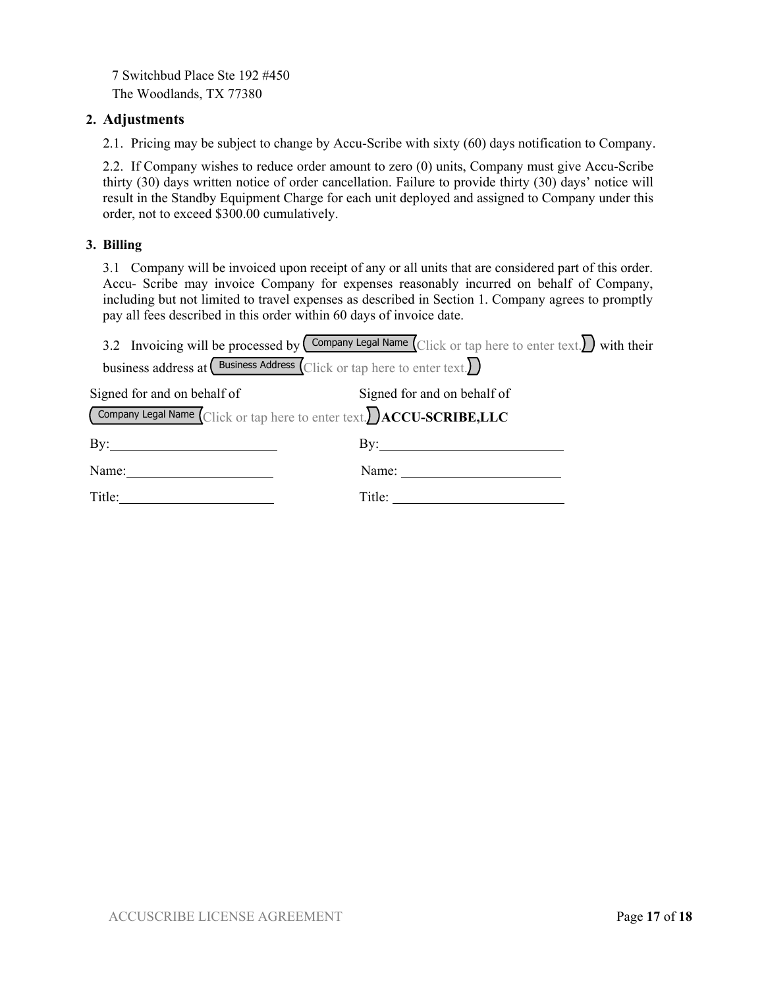7 Switchbud Place Ste 192 #450 The Woodlands, TX 77380

### **2. Adjustments**

2.1. Pricing may be subject to change by Accu-Scribe with sixty (60) days notification to Company.

2.2. If Company wishes to reduce order amount to zero (0) units, Company must give Accu-Scribe thirty (30) days written notice of order cancellation. Failure to provide thirty (30) days' notice will result in the Standby Equipment Charge for each unit deployed and assigned to Company under this order, not to exceed \$300.00 cumulatively.

### **3. Billing**

3.1 Company will be invoiced upon receipt of any or all units that are considered part of this order. Accu- Scribe may invoice Company for expenses reasonably incurred on behalf of Company, including but not limited to travel expenses as described in Section 1. Company agrees to promptly pay all fees described in this order within 60 days of invoice date.

|                                                                                          | 3.2 Invoicing will be processed by $\left(\frac{\text{Common}}{\text{C}}\right)$ Name $\left(\frac{\text{C}}{\text{C}}\right)$ Click or tap here to enter text. |
|------------------------------------------------------------------------------------------|-----------------------------------------------------------------------------------------------------------------------------------------------------------------|
| business address at $\left($ Business Address $\left($ Click or tap here to enter text.  |                                                                                                                                                                 |
| Signed for and on behalf of                                                              | Signed for and on behalf of                                                                                                                                     |
| Company Legal Name $\overline{\text{Click or tap here to enter text.}}$ ACCU-SCRIBE, LLC |                                                                                                                                                                 |
| $\mathbf{By:}$                                                                           | $\mathbf{By:}$                                                                                                                                                  |
| Name:                                                                                    | Name:                                                                                                                                                           |
| Title:                                                                                   |                                                                                                                                                                 |